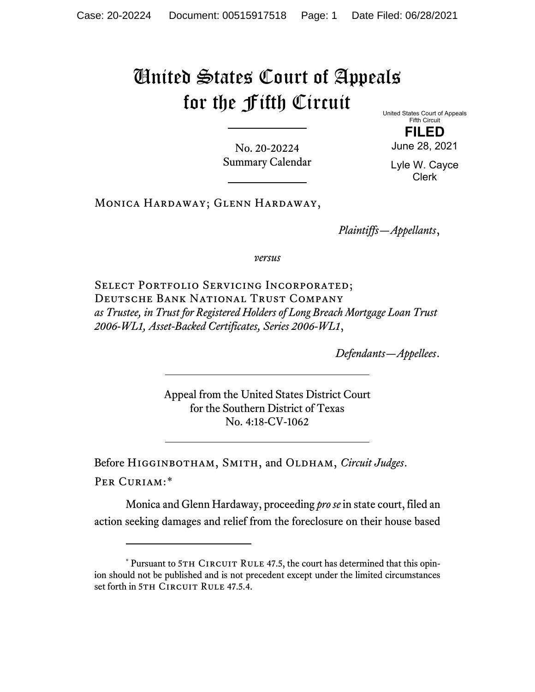## United States Court of Appeals for the Fifth Circuit

United States Court of Appeals Fifth Circuit

No. 20-20224 Summary Calendar

**FILED** June 28, 2021

Lyle W. Cayce Clerk

Monica Hardaway; Glenn Hardaway,

*Plaintiffs—Appellants*,

*versus*

SELECT PORTFOLIO SERVICING INCORPORATED; Deutsche Bank National Trust Company *as Trustee, in Trust for Registered Holders of Long Breach Mortgage Loan Trust 2006-WL1, Asset-Backed Certificates, Series 2006-WL1*,

*Defendants—Appellees*.

Appeal from the United States District Court for the Southern District of Texas No. 4:18-CV-1062

Before Higginbotham, Smith, and Oldham, *Circuit Judges*. Per Curiam:[\\*](#page-0-0)

Monica and Glenn Hardaway, proceeding *pro se* in state court, filed an action seeking damages and relief from the foreclosure on their house based

<span id="page-0-0"></span><sup>\*</sup> Pursuant to 5TH CIRCUIT RULE 47.5, the court has determined that this opinion should not be published and is not precedent except under the limited circumstances set forth in 5TH CIRCUIT RULE 47.5.4.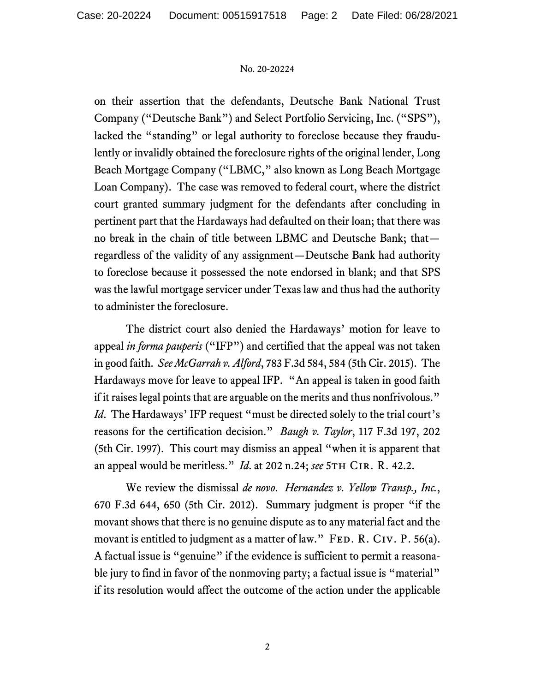## No. 20-20224

on their assertion that the defendants, Deutsche Bank National Trust Company ("Deutsche Bank") and Select Portfolio Servicing, Inc. ("SPS"), lacked the "standing" or legal authority to foreclose because they fraudulently or invalidly obtained the foreclosure rights of the original lender, Long Beach Mortgage Company ("LBMC," also known as Long Beach Mortgage Loan Company). The case was removed to federal court, where the district court granted summary judgment for the defendants after concluding in pertinent part that the Hardaways had defaulted on their loan; that there was no break in the chain of title between LBMC and Deutsche Bank; that regardless of the validity of any assignment—Deutsche Bank had authority to foreclose because it possessed the note endorsed in blank; and that SPS was the lawful mortgage servicer under Texas law and thus had the authority to administer the foreclosure.

The district court also denied the Hardaways' motion for leave to appeal *in forma pauperis* ("IFP") and certified that the appeal was not taken in good faith. *See McGarrah v. Alford*, 783 F.3d 584, 584 (5th Cir. 2015). The Hardaways move for leave to appeal IFP. "An appeal is taken in good faith if it raises legal points that are arguable on the merits and thus nonfrivolous." *Id.* The Hardaways' IFP request "must be directed solely to the trial court's reasons for the certification decision." *Baugh v. Taylor*, 117 F.3d 197, 202 (5th Cir. 1997). This court may dismiss an appeal "when it is apparent that an appeal would be meritless." *Id.* at 202 n.24; *see* 5TH CIR. R. 42.2.

We review the dismissal *de novo*. *Hernandez v. Yellow Transp., Inc.*, 670 F.3d 644, 650 (5th Cir. 2012). Summary judgment is proper "if the movant shows that there is no genuine dispute as to any material fact and the movant is entitled to judgment as a matter of law." FED. R. CIV. P. 56(a). A factual issue is "genuine" if the evidence is sufficient to permit a reasonable jury to find in favor of the nonmoving party; a factual issue is "material" if its resolution would affect the outcome of the action under the applicable